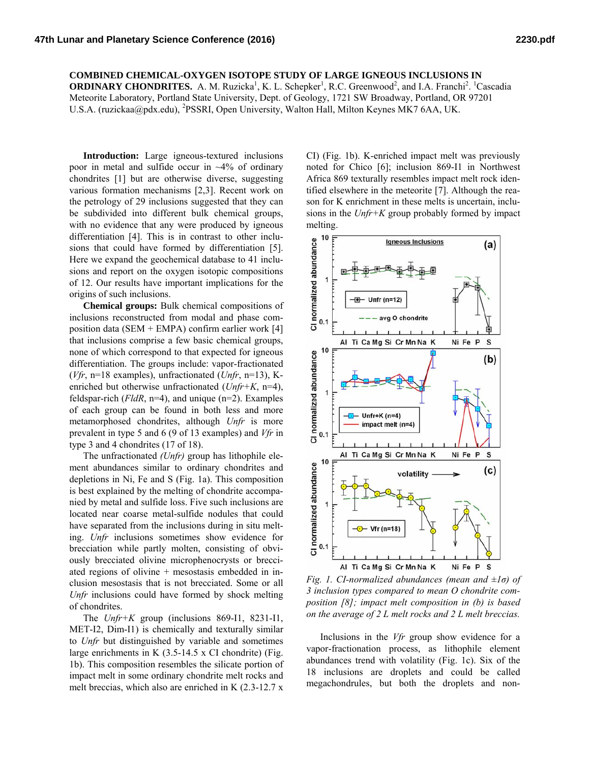## **COMBINED CHEMICAL-OXYGEN ISOTOPE STUDY OF LARGE IGNEOUS INCLUSIONS IN**

**ORDINARY CHONDRITES.** A. M. Ruzicka<sup>1</sup>, K. L. Schepker<sup>1</sup>, R.C. Greenwood<sup>2</sup>, and I.A. Franchi<sup>2</sup>. <sup>1</sup>Cascadia Meteorite Laboratory, Portland State University, Dept. of Geology, 1721 SW Broadway, Portland, OR 97201 U.S.A. (ruzickaa@pdx.edu), <sup>2</sup>PSSRI, Open University, Walton Hall, Milton Keynes MK7 6AA, UK.

**Introduction:** Large igneous-textured inclusions poor in metal and sulfide occur in  $\sim$ 4% of ordinary chondrites [1] but are otherwise diverse, suggesting various formation mechanisms [2,3]. Recent work on the petrology of 29 inclusions suggested that they can be subdivided into different bulk chemical groups, with no evidence that any were produced by igneous differentiation [4]. This is in contrast to other inclusions that could have formed by differentiation [5]. Here we expand the geochemical database to 41 inclusions and report on the oxygen isotopic compositions of 12. Our results have important implications for the origins of such inclusions.

**Chemical groups:** Bulk chemical compositions of inclusions reconstructed from modal and phase composition data (SEM + EMPA) confirm earlier work [4] that inclusions comprise a few basic chemical groups, none of which correspond to that expected for igneous differentiation. The groups include: vapor-fractionated (*Vfr*, n=18 examples), unfractionated (*Unfr*, n=13), Kenriched but otherwise unfractionated (*Unfr+K*, n=4), feldspar-rich (*FldR*, n=4), and unique (n=2). Examples of each group can be found in both less and more metamorphosed chondrites, although *Unfr* is more prevalent in type 5 and 6 (9 of 13 examples) and *Vfr* in type 3 and 4 chondrites (17 of 18).

The unfractionated *(Unfr)* group has lithophile element abundances similar to ordinary chondrites and depletions in Ni, Fe and S (Fig. 1a). This composition is best explained by the melting of chondrite accompanied by metal and sulfide loss. Five such inclusions are located near coarse metal-sulfide nodules that could have separated from the inclusions during in situ melting. *Unfr* inclusions sometimes show evidence for brecciation while partly molten, consisting of obviously brecciated olivine microphenocrysts or brecciated regions of olivine + mesostasis embedded in inclusion mesostasis that is not brecciated. Some or all *Unfr* inclusions could have formed by shock melting of chondrites.

The *Unfr+K* group (inclusions 869-I1, 8231-I1, MET-I2, Dim-I1) is chemically and texturally similar to *Unfr* but distinguished by variable and sometimes large enrichments in K  $(3.5-14.5 \times C)$  chondrite) (Fig. 1b). This composition resembles the silicate portion of impact melt in some ordinary chondrite melt rocks and melt breccias, which also are enriched in K (2.3-12.7 x

CI) (Fig. 1b). K-enriched impact melt was previously noted for Chico [6]; inclusion 869-I1 in Northwest Africa 869 texturally resembles impact melt rock identified elsewhere in the meteorite [7]. Although the reason for K enrichment in these melts is uncertain, inclusions in the *Unfr+K* group probably formed by impact melting.



*Fig. 1. CI-normalized abundances (mean and ±1σ) of 3 inclusion types compared to mean O chondrite composition [8]; impact melt composition in (b) is based on the average of 2 L melt rocks and 2 L melt breccias.* 

Inclusions in the *Vfr* group show evidence for a vapor-fractionation process, as lithophile element abundances trend with volatility (Fig. 1c). Six of the 18 inclusions are droplets and could be called megachondrules, but both the droplets and non